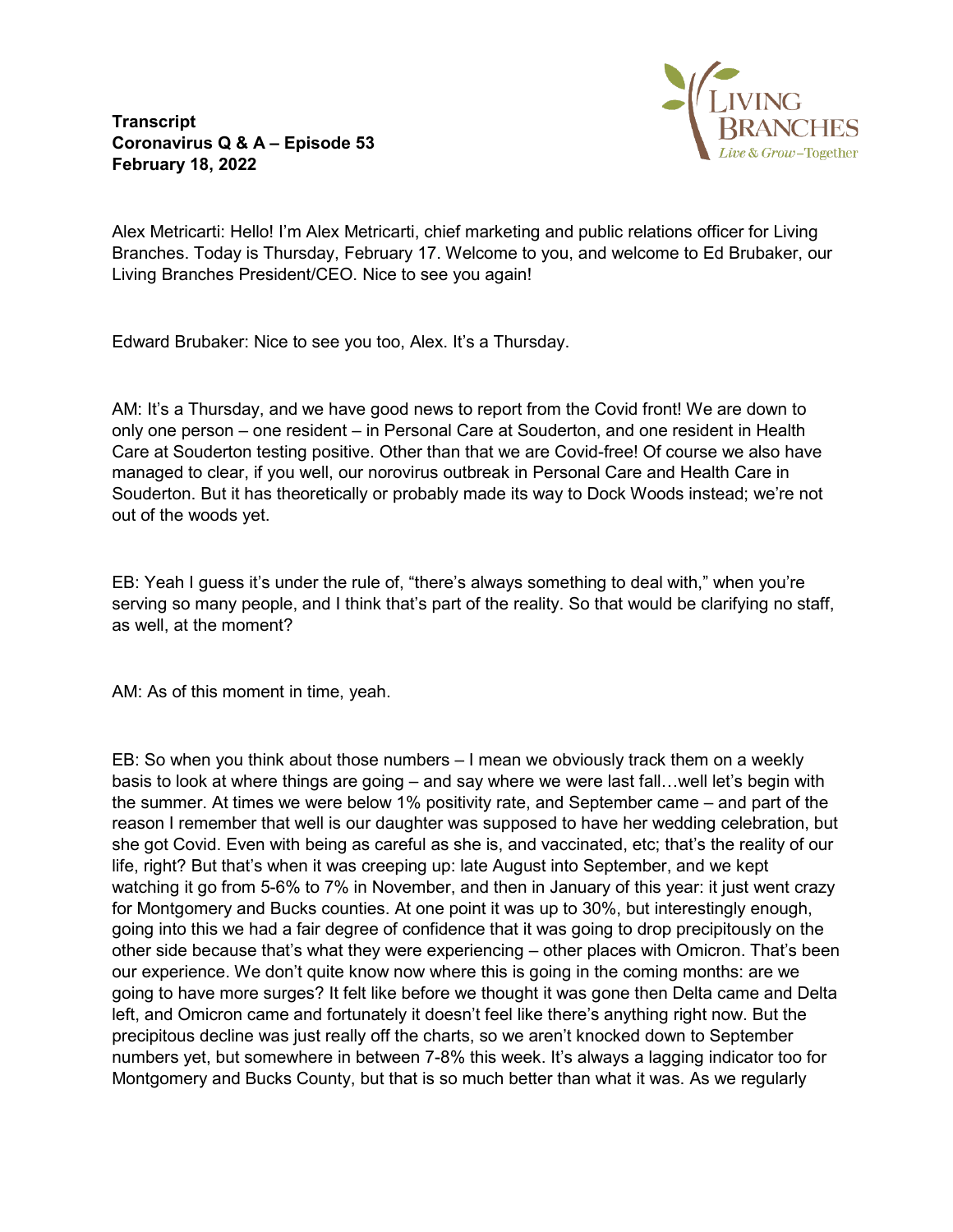**Transcript Coronavirus Q & A – Episode 53 February 18, 2022**



Alex Metricarti: Hello! I'm Alex Metricarti, chief marketing and public relations officer for Living Branches. Today is Thursday, February 17. Welcome to you, and welcome to Ed Brubaker, our Living Branches President/CEO. Nice to see you again!

Edward Brubaker: Nice to see you too, Alex. It's a Thursday.

AM: It's a Thursday, and we have good news to report from the Covid front! We are down to only one person – one resident – in Personal Care at Souderton, and one resident in Health Care at Souderton testing positive. Other than that we are Covid-free! Of course we also have managed to clear, if you well, our norovirus outbreak in Personal Care and Health Care in Souderton. But it has theoretically or probably made its way to Dock Woods instead; we're not out of the woods yet.

EB: Yeah I guess it's under the rule of, "there's always something to deal with," when you're serving so many people, and I think that's part of the reality. So that would be clarifying no staff, as well, at the moment?

AM: As of this moment in time, yeah.

EB: So when you think about those numbers – I mean we obviously track them on a weekly basis to look at where things are going – and say where we were last fall…well let's begin with the summer. At times we were below 1% positivity rate, and September came – and part of the reason I remember that well is our daughter was supposed to have her wedding celebration, but she got Covid. Even with being as careful as she is, and vaccinated, etc; that's the reality of our life, right? But that's when it was creeping up: late August into September, and we kept watching it go from 5-6% to 7% in November, and then in January of this year: it just went crazy for Montgomery and Bucks counties. At one point it was up to 30%, but interestingly enough, going into this we had a fair degree of confidence that it was going to drop precipitously on the other side because that's what they were experiencing – other places with Omicron. That's been our experience. We don't quite know now where this is going in the coming months: are we going to have more surges? It felt like before we thought it was gone then Delta came and Delta left, and Omicron came and fortunately it doesn't feel like there's anything right now. But the precipitous decline was just really off the charts, so we aren't knocked down to September numbers yet, but somewhere in between 7-8% this week. It's always a lagging indicator too for Montgomery and Bucks County, but that is so much better than what it was. As we regularly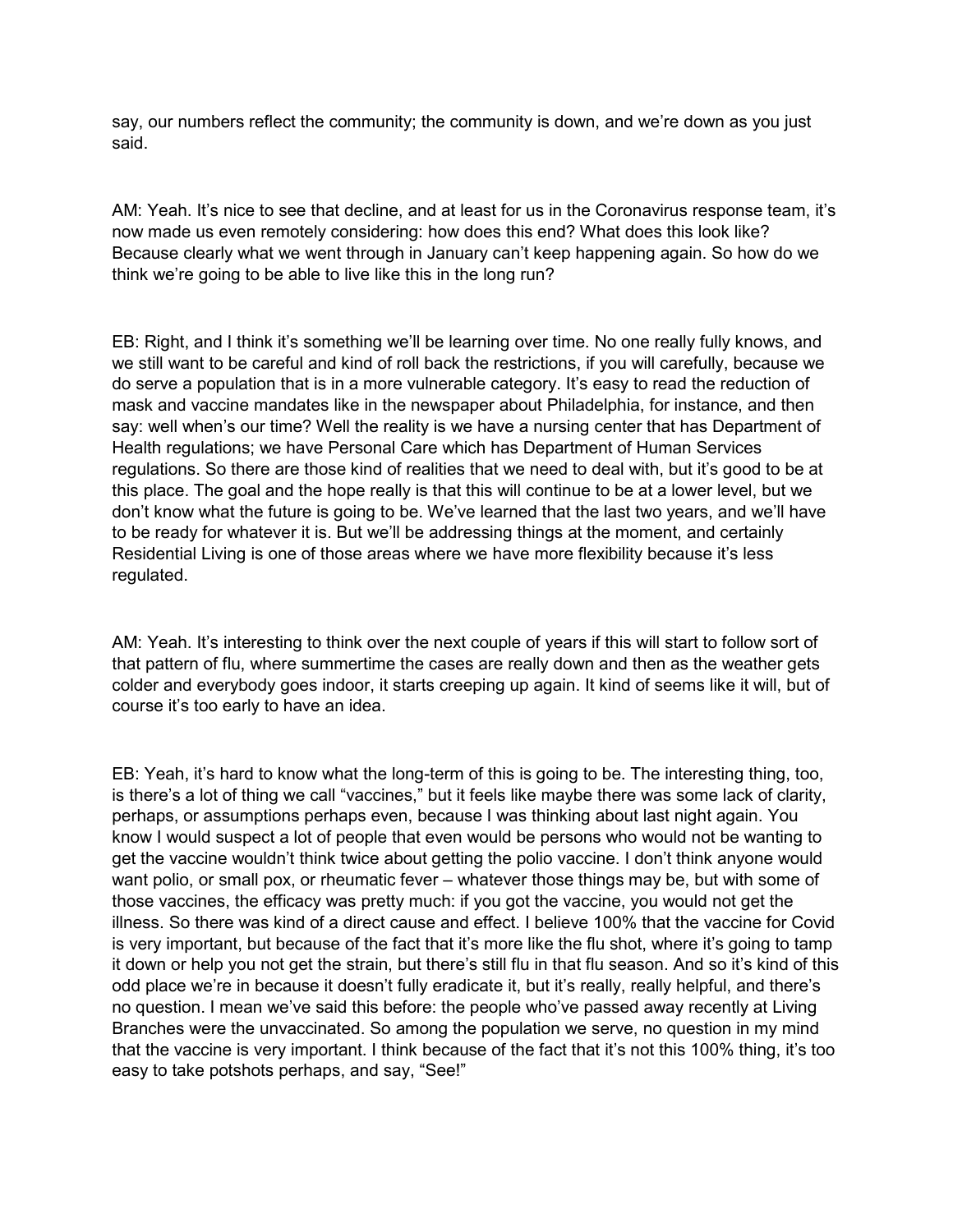say, our numbers reflect the community; the community is down, and we're down as you just said.

AM: Yeah. It's nice to see that decline, and at least for us in the Coronavirus response team, it's now made us even remotely considering: how does this end? What does this look like? Because clearly what we went through in January can't keep happening again. So how do we think we're going to be able to live like this in the long run?

EB: Right, and I think it's something we'll be learning over time. No one really fully knows, and we still want to be careful and kind of roll back the restrictions, if you will carefully, because we do serve a population that is in a more vulnerable category. It's easy to read the reduction of mask and vaccine mandates like in the newspaper about Philadelphia, for instance, and then say: well when's our time? Well the reality is we have a nursing center that has Department of Health regulations; we have Personal Care which has Department of Human Services regulations. So there are those kind of realities that we need to deal with, but it's good to be at this place. The goal and the hope really is that this will continue to be at a lower level, but we don't know what the future is going to be. We've learned that the last two years, and we'll have to be ready for whatever it is. But we'll be addressing things at the moment, and certainly Residential Living is one of those areas where we have more flexibility because it's less regulated.

AM: Yeah. It's interesting to think over the next couple of years if this will start to follow sort of that pattern of flu, where summertime the cases are really down and then as the weather gets colder and everybody goes indoor, it starts creeping up again. It kind of seems like it will, but of course it's too early to have an idea.

EB: Yeah, it's hard to know what the long-term of this is going to be. The interesting thing, too, is there's a lot of thing we call "vaccines," but it feels like maybe there was some lack of clarity, perhaps, or assumptions perhaps even, because I was thinking about last night again. You know I would suspect a lot of people that even would be persons who would not be wanting to get the vaccine wouldn't think twice about getting the polio vaccine. I don't think anyone would want polio, or small pox, or rheumatic fever – whatever those things may be, but with some of those vaccines, the efficacy was pretty much: if you got the vaccine, you would not get the illness. So there was kind of a direct cause and effect. I believe 100% that the vaccine for Covid is very important, but because of the fact that it's more like the flu shot, where it's going to tamp it down or help you not get the strain, but there's still flu in that flu season. And so it's kind of this odd place we're in because it doesn't fully eradicate it, but it's really, really helpful, and there's no question. I mean we've said this before: the people who've passed away recently at Living Branches were the unvaccinated. So among the population we serve, no question in my mind that the vaccine is very important. I think because of the fact that it's not this 100% thing, it's too easy to take potshots perhaps, and say, "See!"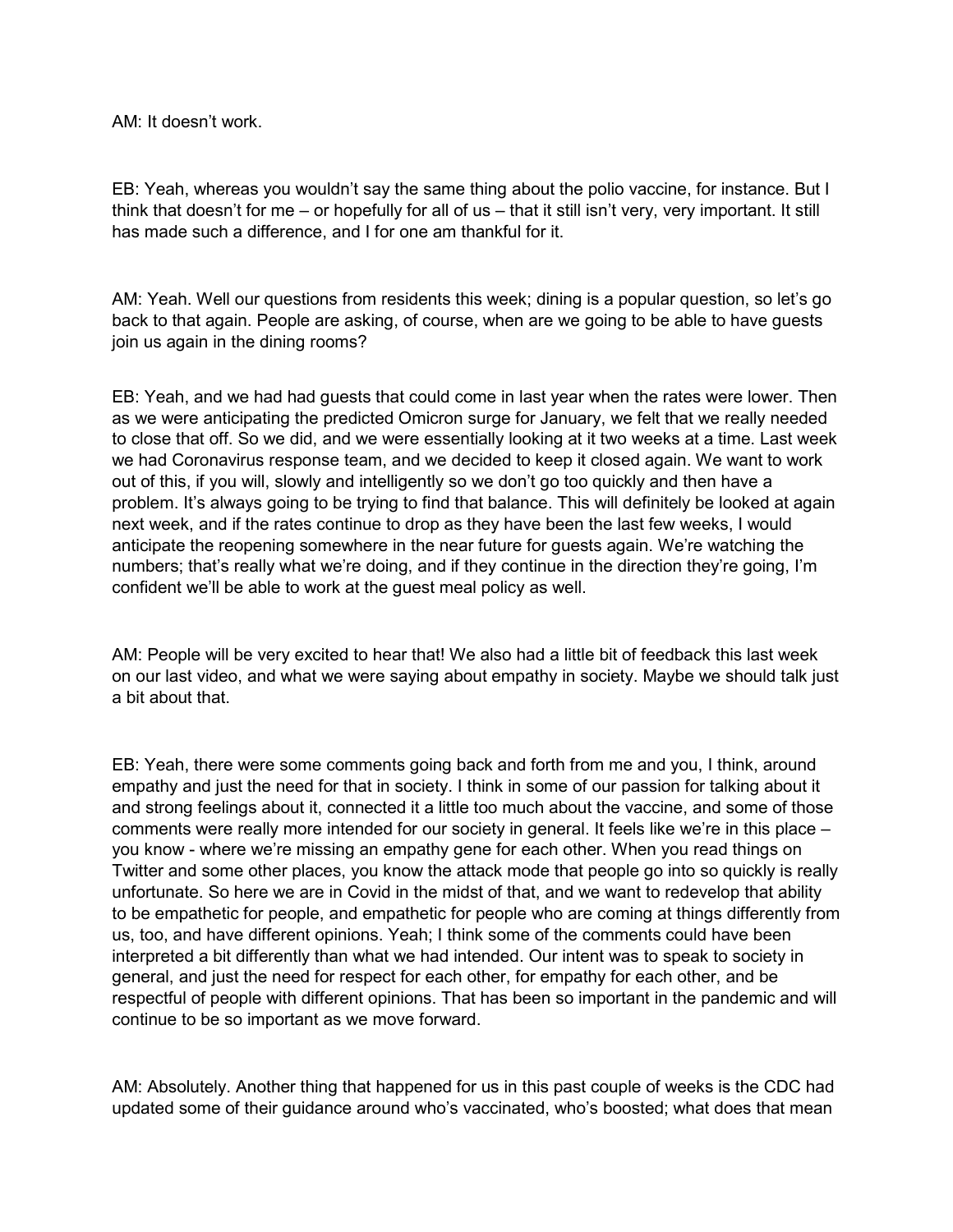AM: It doesn't work.

EB: Yeah, whereas you wouldn't say the same thing about the polio vaccine, for instance. But I think that doesn't for me – or hopefully for all of us – that it still isn't very, very important. It still has made such a difference, and I for one am thankful for it.

AM: Yeah. Well our questions from residents this week; dining is a popular question, so let's go back to that again. People are asking, of course, when are we going to be able to have guests join us again in the dining rooms?

EB: Yeah, and we had had guests that could come in last year when the rates were lower. Then as we were anticipating the predicted Omicron surge for January, we felt that we really needed to close that off. So we did, and we were essentially looking at it two weeks at a time. Last week we had Coronavirus response team, and we decided to keep it closed again. We want to work out of this, if you will, slowly and intelligently so we don't go too quickly and then have a problem. It's always going to be trying to find that balance. This will definitely be looked at again next week, and if the rates continue to drop as they have been the last few weeks, I would anticipate the reopening somewhere in the near future for guests again. We're watching the numbers; that's really what we're doing, and if they continue in the direction they're going, I'm confident we'll be able to work at the guest meal policy as well.

AM: People will be very excited to hear that! We also had a little bit of feedback this last week on our last video, and what we were saying about empathy in society. Maybe we should talk just a bit about that.

EB: Yeah, there were some comments going back and forth from me and you, I think, around empathy and just the need for that in society. I think in some of our passion for talking about it and strong feelings about it, connected it a little too much about the vaccine, and some of those comments were really more intended for our society in general. It feels like we're in this place – you know - where we're missing an empathy gene for each other. When you read things on Twitter and some other places, you know the attack mode that people go into so quickly is really unfortunate. So here we are in Covid in the midst of that, and we want to redevelop that ability to be empathetic for people, and empathetic for people who are coming at things differently from us, too, and have different opinions. Yeah; I think some of the comments could have been interpreted a bit differently than what we had intended. Our intent was to speak to society in general, and just the need for respect for each other, for empathy for each other, and be respectful of people with different opinions. That has been so important in the pandemic and will continue to be so important as we move forward.

AM: Absolutely. Another thing that happened for us in this past couple of weeks is the CDC had updated some of their guidance around who's vaccinated, who's boosted; what does that mean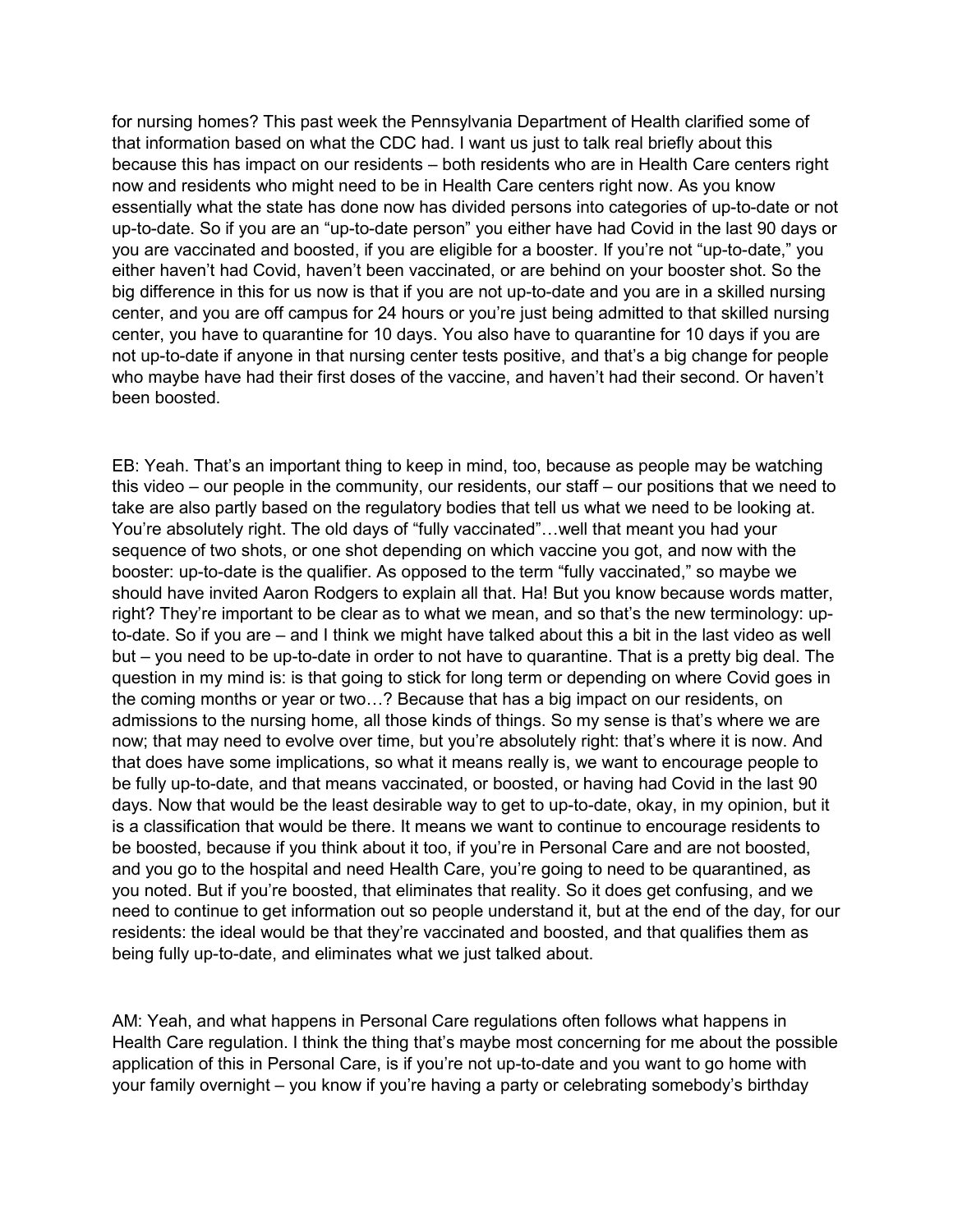for nursing homes? This past week the Pennsylvania Department of Health clarified some of that information based on what the CDC had. I want us just to talk real briefly about this because this has impact on our residents – both residents who are in Health Care centers right now and residents who might need to be in Health Care centers right now. As you know essentially what the state has done now has divided persons into categories of up-to-date or not up-to-date. So if you are an "up-to-date person" you either have had Covid in the last 90 days or you are vaccinated and boosted, if you are eligible for a booster. If you're not "up-to-date," you either haven't had Covid, haven't been vaccinated, or are behind on your booster shot. So the big difference in this for us now is that if you are not up-to-date and you are in a skilled nursing center, and you are off campus for 24 hours or you're just being admitted to that skilled nursing center, you have to quarantine for 10 days. You also have to quarantine for 10 days if you are not up-to-date if anyone in that nursing center tests positive, and that's a big change for people who maybe have had their first doses of the vaccine, and haven't had their second. Or haven't been boosted.

EB: Yeah. That's an important thing to keep in mind, too, because as people may be watching this video – our people in the community, our residents, our staff – our positions that we need to take are also partly based on the regulatory bodies that tell us what we need to be looking at. You're absolutely right. The old days of "fully vaccinated"…well that meant you had your sequence of two shots, or one shot depending on which vaccine you got, and now with the booster: up-to-date is the qualifier. As opposed to the term "fully vaccinated," so maybe we should have invited Aaron Rodgers to explain all that. Ha! But you know because words matter, right? They're important to be clear as to what we mean, and so that's the new terminology: upto-date. So if you are – and I think we might have talked about this a bit in the last video as well but – you need to be up-to-date in order to not have to quarantine. That is a pretty big deal. The question in my mind is: is that going to stick for long term or depending on where Covid goes in the coming months or year or two…? Because that has a big impact on our residents, on admissions to the nursing home, all those kinds of things. So my sense is that's where we are now; that may need to evolve over time, but you're absolutely right: that's where it is now. And that does have some implications, so what it means really is, we want to encourage people to be fully up-to-date, and that means vaccinated, or boosted, or having had Covid in the last 90 days. Now that would be the least desirable way to get to up-to-date, okay, in my opinion, but it is a classification that would be there. It means we want to continue to encourage residents to be boosted, because if you think about it too, if you're in Personal Care and are not boosted, and you go to the hospital and need Health Care, you're going to need to be quarantined, as you noted. But if you're boosted, that eliminates that reality. So it does get confusing, and we need to continue to get information out so people understand it, but at the end of the day, for our residents: the ideal would be that they're vaccinated and boosted, and that qualifies them as being fully up-to-date, and eliminates what we just talked about.

AM: Yeah, and what happens in Personal Care regulations often follows what happens in Health Care regulation. I think the thing that's maybe most concerning for me about the possible application of this in Personal Care, is if you're not up-to-date and you want to go home with your family overnight – you know if you're having a party or celebrating somebody's birthday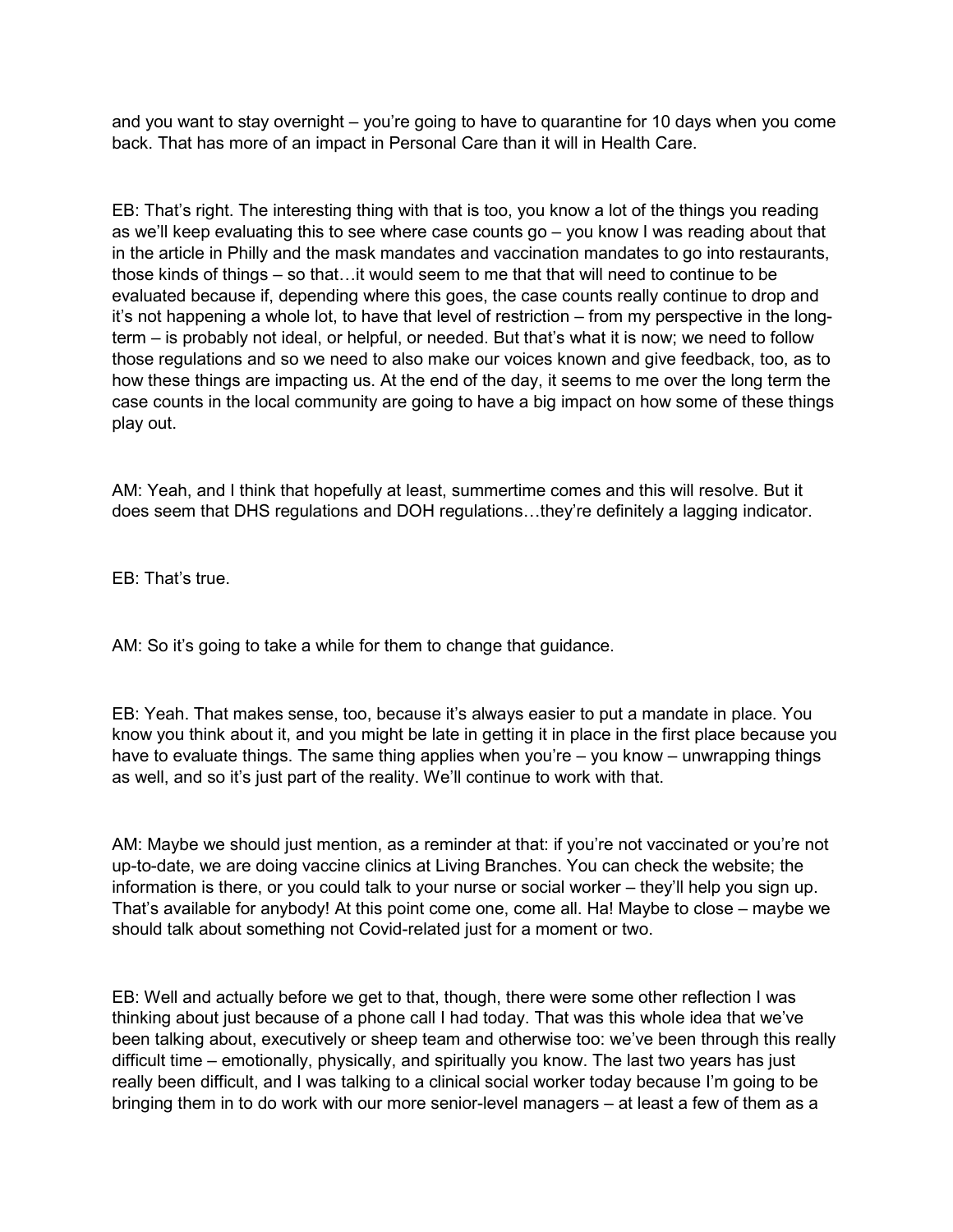and you want to stay overnight – you're going to have to quarantine for 10 days when you come back. That has more of an impact in Personal Care than it will in Health Care.

EB: That's right. The interesting thing with that is too, you know a lot of the things you reading as we'll keep evaluating this to see where case counts go – you know I was reading about that in the article in Philly and the mask mandates and vaccination mandates to go into restaurants, those kinds of things – so that…it would seem to me that that will need to continue to be evaluated because if, depending where this goes, the case counts really continue to drop and it's not happening a whole lot, to have that level of restriction – from my perspective in the longterm – is probably not ideal, or helpful, or needed. But that's what it is now; we need to follow those regulations and so we need to also make our voices known and give feedback, too, as to how these things are impacting us. At the end of the day, it seems to me over the long term the case counts in the local community are going to have a big impact on how some of these things play out.

AM: Yeah, and I think that hopefully at least, summertime comes and this will resolve. But it does seem that DHS regulations and DOH regulations…they're definitely a lagging indicator.

EB: That's true.

AM: So it's going to take a while for them to change that guidance.

EB: Yeah. That makes sense, too, because it's always easier to put a mandate in place. You know you think about it, and you might be late in getting it in place in the first place because you have to evaluate things. The same thing applies when you're – you know – unwrapping things as well, and so it's just part of the reality. We'll continue to work with that.

AM: Maybe we should just mention, as a reminder at that: if you're not vaccinated or you're not up-to-date, we are doing vaccine clinics at Living Branches. You can check the website; the information is there, or you could talk to your nurse or social worker – they'll help you sign up. That's available for anybody! At this point come one, come all. Ha! Maybe to close – maybe we should talk about something not Covid-related just for a moment or two.

EB: Well and actually before we get to that, though, there were some other reflection I was thinking about just because of a phone call I had today. That was this whole idea that we've been talking about, executively or sheep team and otherwise too: we've been through this really difficult time – emotionally, physically, and spiritually you know. The last two years has just really been difficult, and I was talking to a clinical social worker today because I'm going to be bringing them in to do work with our more senior-level managers – at least a few of them as a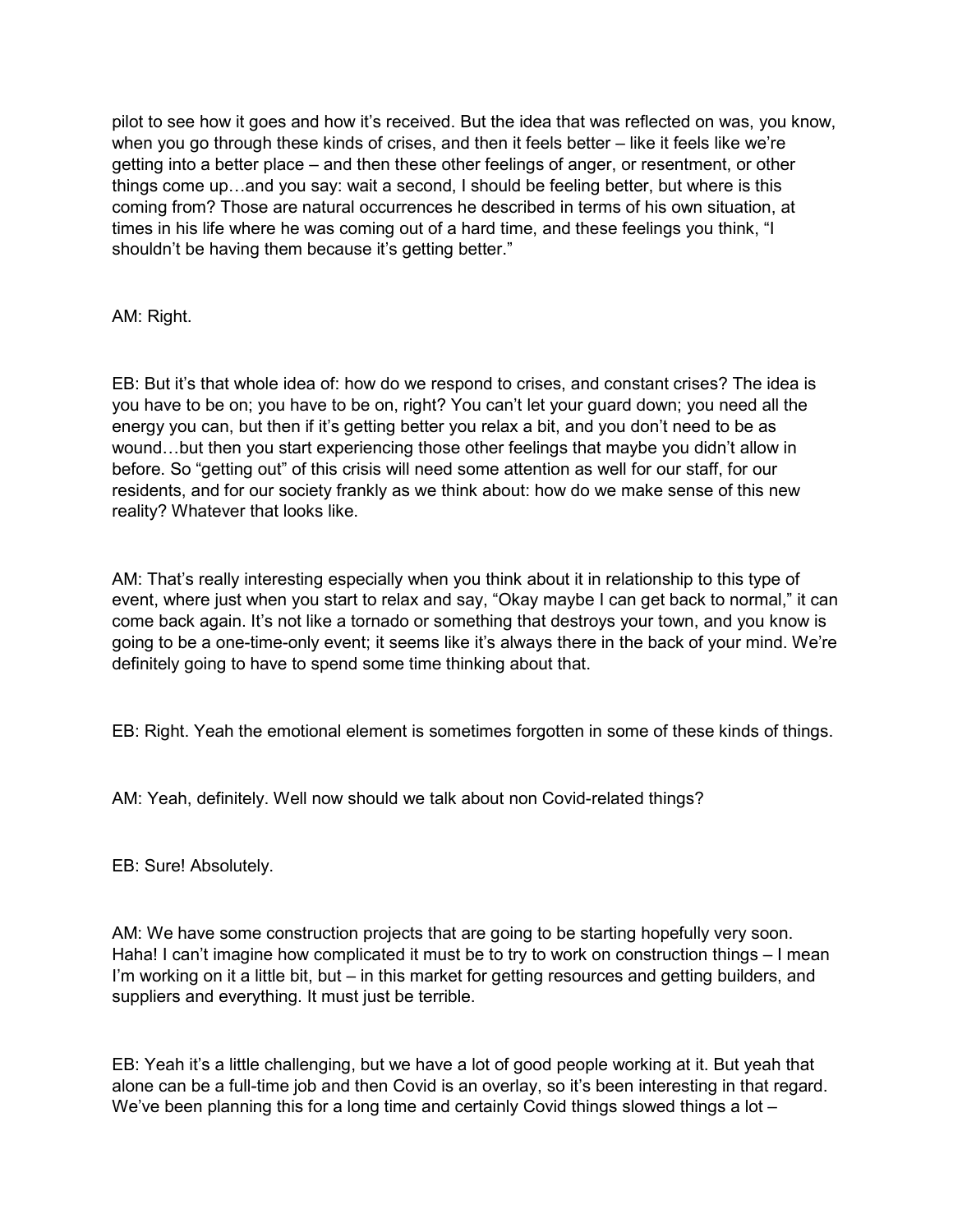pilot to see how it goes and how it's received. But the idea that was reflected on was, you know, when you go through these kinds of crises, and then it feels better – like it feels like we're getting into a better place – and then these other feelings of anger, or resentment, or other things come up…and you say: wait a second, I should be feeling better, but where is this coming from? Those are natural occurrences he described in terms of his own situation, at times in his life where he was coming out of a hard time, and these feelings you think, "I shouldn't be having them because it's getting better."

AM: Right.

EB: But it's that whole idea of: how do we respond to crises, and constant crises? The idea is you have to be on; you have to be on, right? You can't let your guard down; you need all the energy you can, but then if it's getting better you relax a bit, and you don't need to be as wound…but then you start experiencing those other feelings that maybe you didn't allow in before. So "getting out" of this crisis will need some attention as well for our staff, for our residents, and for our society frankly as we think about: how do we make sense of this new reality? Whatever that looks like.

AM: That's really interesting especially when you think about it in relationship to this type of event, where just when you start to relax and say, "Okay maybe I can get back to normal," it can come back again. It's not like a tornado or something that destroys your town, and you know is going to be a one-time-only event; it seems like it's always there in the back of your mind. We're definitely going to have to spend some time thinking about that.

EB: Right. Yeah the emotional element is sometimes forgotten in some of these kinds of things.

AM: Yeah, definitely. Well now should we talk about non Covid-related things?

EB: Sure! Absolutely.

AM: We have some construction projects that are going to be starting hopefully very soon. Haha! I can't imagine how complicated it must be to try to work on construction things – I mean I'm working on it a little bit, but – in this market for getting resources and getting builders, and suppliers and everything. It must just be terrible.

EB: Yeah it's a little challenging, but we have a lot of good people working at it. But yeah that alone can be a full-time job and then Covid is an overlay, so it's been interesting in that regard. We've been planning this for a long time and certainly Covid things slowed things a lot –